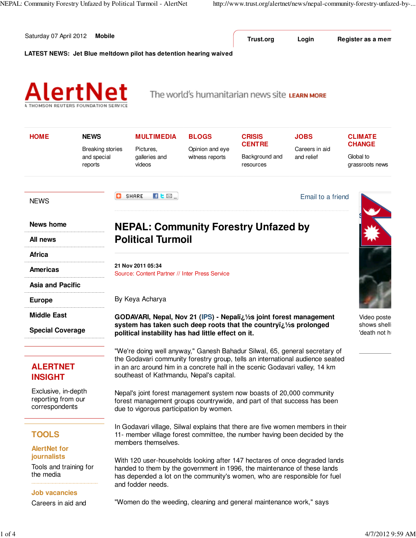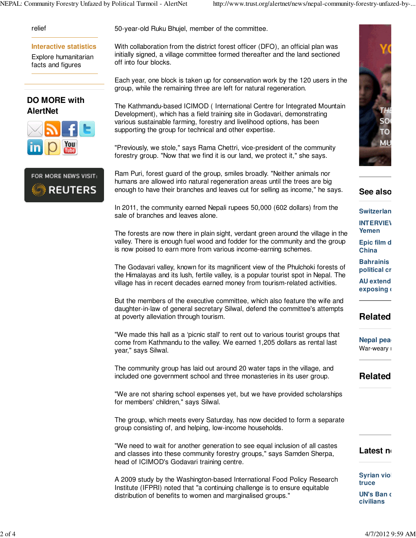### relief

### **Interactive statistics**

Explore humanitarian facts and figures

## **DO MORE with AlertNet**





50-year-old Ruku Bhujel, member of the committee.

With collaboration from the district forest officer (DFO), an official plan was initially signed, a village committee formed thereafter and the land sectioned off into four blocks.

Each year, one block is taken up for conservation work by the 120 users in the group, while the remaining three are left for natural regeneration.

The Kathmandu-based ICIMOD ( International Centre for Integrated Mountain Development), which has a field training site in Godavari, demonstrating various sustainable farming, forestry and livelihood options, has been supporting the group for technical and other expertise.

"Previously, we stole," says Rama Chettri, vice-president of the community forestry group. "Now that we find it is our land, we protect it," she says.

Ram Puri, forest guard of the group, smiles broadly. "Neither animals nor humans are allowed into natural regeneration areas until the trees are big enough to have their branches and leaves cut for selling as income," he says.

In 2011, the community earned Nepali rupees 50,000 (602 dollars) from the sale of branches and leaves alone.

The forests are now there in plain sight, verdant green around the village in the valley. There is enough fuel wood and fodder for the community and the group is now poised to earn more from various income-earning schemes.

The Godavari valley, known for its magnificent view of the Phulchoki forests of the Himalayas and its lush, fertile valley, is a popular tourist spot in Nepal. The village has in recent decades earned money from tourism-related activities.

But the members of the executive committee, which also feature the wife and daughter-in-law of general secretary Silwal, defend the committee's attempts at poverty alleviation through tourism.

"We made this hall as a 'picnic stall' to rent out to various tourist groups that come from Kathmandu to the valley. We earned 1,205 dollars as rental last year," says Silwal.

The community group has laid out around 20 water taps in the village, and included one government school and three monasteries in its user group.

"We are not sharing school expenses yet, but we have provided scholarships for members' children," says Silwal.

The group, which meets every Saturday, has now decided to form a separate group consisting of, and helping, low-income households.

"We need to wait for another generation to see equal inclusion of all castes and classes into these community forestry groups," says Samden Sherpa, head of ICIMOD's Godavari training centre.

A 2009 study by the Washington-based International Food Policy Research Institute (IFPRI) noted that "a continuing challenge is to ensure equitable distribution of benefits to women and marginalised groups."



## **See also:**

**Switzerlan** 

#### **INTERVIEW Yemen**

**Epic film d China**

**Bahrainis political crisis**

**AU extend exposing** 

# **Related**

**Nepal pea** War-weary i

# **Related**

## Latest ne

**Syrian viol truce UN's Ban c civilians**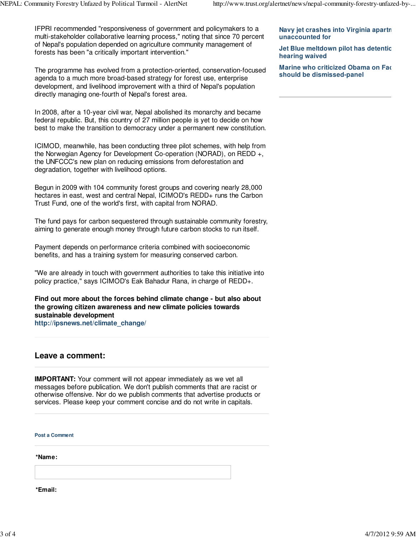IFPRI recommended "responsiveness of government and policymakers to a multi-stakeholder collaborative learning process," noting that since 70 percent of Nepal's population depended on agriculture community management of forests has been "a critically important intervention."

The programme has evolved from a protection-oriented, conservation-focused agenda to a much more broad-based strategy for forest use, enterprise development, and livelihood improvement with a third of Nepal's population directly managing one-fourth of Nepal's forest area.

In 2008, after a 10-year civil war, Nepal abolished its monarchy and became federal republic. But, this country of 27 million people is yet to decide on how best to make the transition to democracy under a permanent new constitution.

ICIMOD, meanwhile, has been conducting three pilot schemes, with help from the Norwegian Agency for Development Co-operation (NORAD), on REDD +, the UNFCCC's new plan on reducing emissions from deforestation and degradation, together with livelihood options.

Begun in 2009 with 104 community forest groups and covering nearly 28,000 hectares in east, west and central Nepal, ICIMOD's REDD+ runs the Carbon Trust Fund, one of the world's first, with capital from NORAD.

The fund pays for carbon sequestered through sustainable community forestry, aiming to generate enough money through future carbon stocks to run itself.

Payment depends on performance criteria combined with socioeconomic benefits, and has a training system for measuring conserved carbon.

"We are already in touch with government authorities to take this initiative into policy practice," says ICIMOD's Eak Bahadur Rana, in charge of REDD+.

**Find out more about the forces behind climate change - but also about the growing citizen awareness and new climate policies towards sustainable development http://ipsnews.net/climate\_change/**

## **Leave a comment:**

**IMPORTANT:** Your comment will not appear immediately as we vet all messages before publication. We don't publish comments that are racist or otherwise offensive. Nor do we publish comments that advertise products or services. Please keep your comment concise and do not write in capitals.

**Post a Comment**

**\*Name:**

**\*Email:**

**Navy jet crashes into Virginia apartn unaccounted for**

**Jet Blue meltdown pilot has detentic hearing waived**

**Marine who criticized Obama on Face should be dismissed-panel**